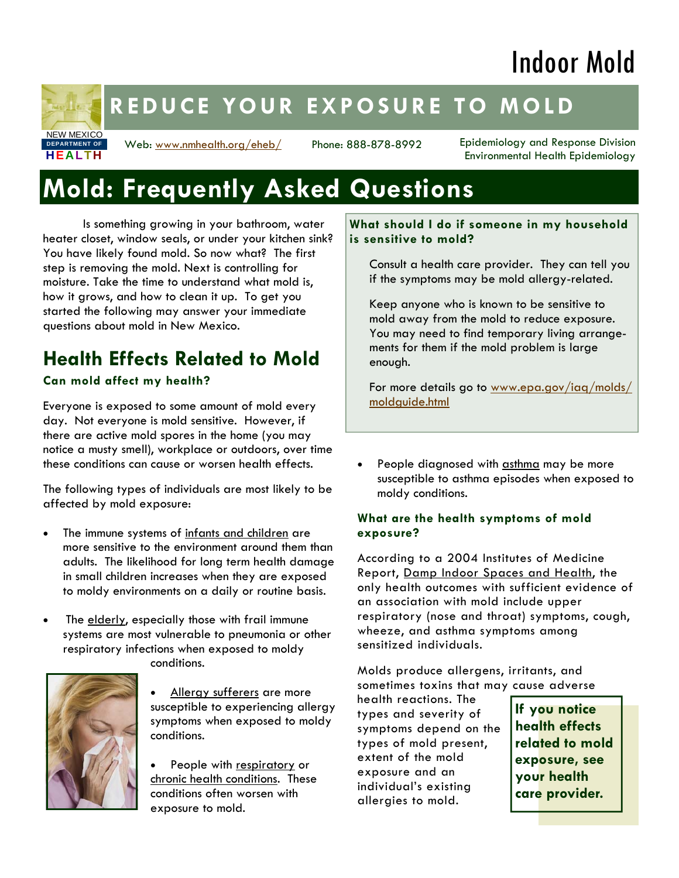# Indoor Mold

# NEW MEXICO **HEALTH DEPARTMENT OF**

# **REDUCE YOUR EXPOSURE TO MOLD**

Web: www.nmhealth.org/eheb/

Phone: 888-878-8992 Epidemiology and Response Division Environmental Health Epidemiology

# **Mold: Frequently Asked Questions**

 Is something growing in your bathroom, water heater closet, window seals, or under your kitchen sink? You have likely found mold. So now what? The first step is removing the mold. Next is controlling for moisture. Take the time to understand what mold is, how it grows, and how to clean it up. To get you started the following may answer your immediate questions about mold in New Mexico.

# **Health Effects Related to Mold**

#### **Can mold affect my health?**

Everyone is exposed to some amount of mold every day. Not everyone is mold sensitive. However, if there are active mold spores in the home (you may notice a musty smell), workplace or outdoors, over time these conditions can cause or worsen health effects.

The following types of individuals are most likely to be affected by mold exposure:

- The immune systems of infants and children are more sensitive to the environment around them than adults. The likelihood for long term health damage in small children increases when they are exposed to moldy environments on a daily or routine basis.
- The elderly, especially those with frail immune systems are most vulnerable to pneumonia or other respiratory infections when exposed to moldy conditions.



• Allergy sufferers are more susceptible to experiencing allergy symptoms when exposed to moldy conditions.

People with respiratory or chronic health conditions. These conditions often worsen with exposure to mold.

**What should I do if someone in my household is sensitive to mold?** 

Consult a health care provider. They can tell you if the symptoms may be mold allergy-related.

Keep anyone who is known to be sensitive to mold away from the mold to reduce exposure. You may need to find temporary living arrangements for them if the mold problem is large enough.

For more details go to www.epa.gov/iaq/molds/ moldguide.html

• People diagnosed with asthma may be more susceptible to asthma episodes when exposed to moldy conditions.

#### **What are the health symptoms of mold exposure?**

According to a 2004 Institutes of Medicine Report, Damp Indoor Spaces and Health, the only health outcomes with sufficient evidence of an association with mold include upper respiratory (nose and throat) symptoms, cough, wheeze, and asthma symptoms among sensitized individuals.

Molds produce allergens, irritants, and sometimes toxins that may cause adverse

health reactions. The types and severity of symptoms depend on the types of mold present, extent of the mold exposure and an individual's existing allergies to mold.

**If you notice health effects related to mold exposure, see your health care provider.**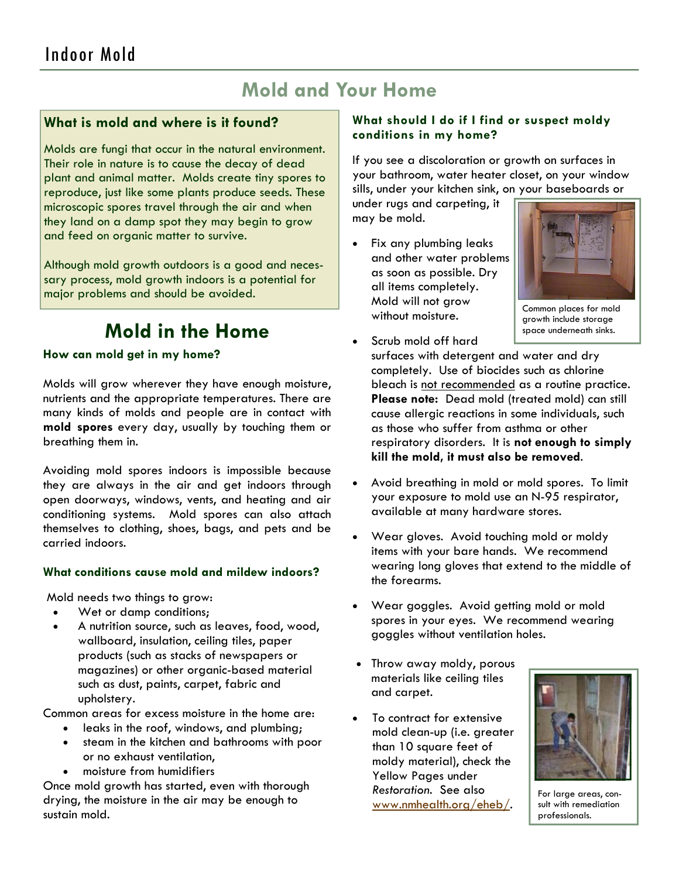### **Mold and Your Home**

#### **What is mold and where is it found?**

Molds are fungi that occur in the natural environment. Their role in nature is to cause the decay of dead plant and animal matter. Molds create tiny spores to reproduce, just like some plants produce seeds. These microscopic spores travel through the air and when they land on a damp spot they may begin to grow and feed on organic matter to survive.

Although mold growth outdoors is a good and necessary process, mold growth indoors is a potential for major problems and should be avoided.

### **Mold in the Home**

#### **How can mold get in my home?**

Molds will grow wherever they have enough moisture, nutrients and the appropriate temperatures. There are many kinds of molds and people are in contact with **mold spores** every day, usually by touching them or breathing them in.

Avoiding mold spores indoors is impossible because they are always in the air and get indoors through open doorways, windows, vents, and heating and air conditioning systems. Mold spores can also attach themselves to clothing, shoes, bags, and pets and be carried indoors.

#### **What conditions cause mold and mildew indoors?**

Mold needs two things to grow:

- Wet or damp conditions;
- A nutrition source, such as leaves, food, wood, wallboard, insulation, ceiling tiles, paper products (such as stacks of newspapers or magazines) or other organic-based material such as dust, paints, carpet, fabric and upholstery.

Common areas for excess moisture in the home are:

- leaks in the roof, windows, and plumbing;
- steam in the kitchen and bathrooms with poor or no exhaust ventilation,
- moisture from humidifiers

Once mold growth has started, even with thorough drying, the moisture in the air may be enough to sustain mold.

#### **What should I do if I find or suspect moldy conditions in my home?**

If you see a discoloration or growth on surfaces in your bathroom, water heater closet, on your window sills, under your kitchen sink, on your baseboards or

under rugs and carpeting, it may be mold.

Fix any plumbing leaks and other water problems as soon as possible. Dry all items completely. Mold will not grow without moisture.



Common places for mold growth include storage space underneath sinks.

• Scrub mold off hard

surfaces with detergent and water and dry completely. Use of biocides such as chlorine bleach is not recommended as a routine practice. **Please note:** Dead mold (treated mold) can still cause allergic reactions in some individuals, such as those who suffer from asthma or other respiratory disorders. It is **not enough to simply kill the mold, it must also be removed**.

- Avoid breathing in mold or mold spores. To limit your exposure to mold use an N-95 respirator, available at many hardware stores.
- Wear gloves. Avoid touching mold or moldy items with your bare hands. We recommend wearing long gloves that extend to the middle of the forearms.
- Wear goggles. Avoid getting mold or mold spores in your eyes. We recommend wearing goggles without ventilation holes.
- Throw away moldy, porous materials like ceiling tiles and carpet.
- To contract for extensive mold clean-up (i.e. greater than 10 square feet of moldy material), check the Yellow Pages under *Restoration*. See also www.nmhealth.org/eheb/.



For large areas, consult with remediation professionals.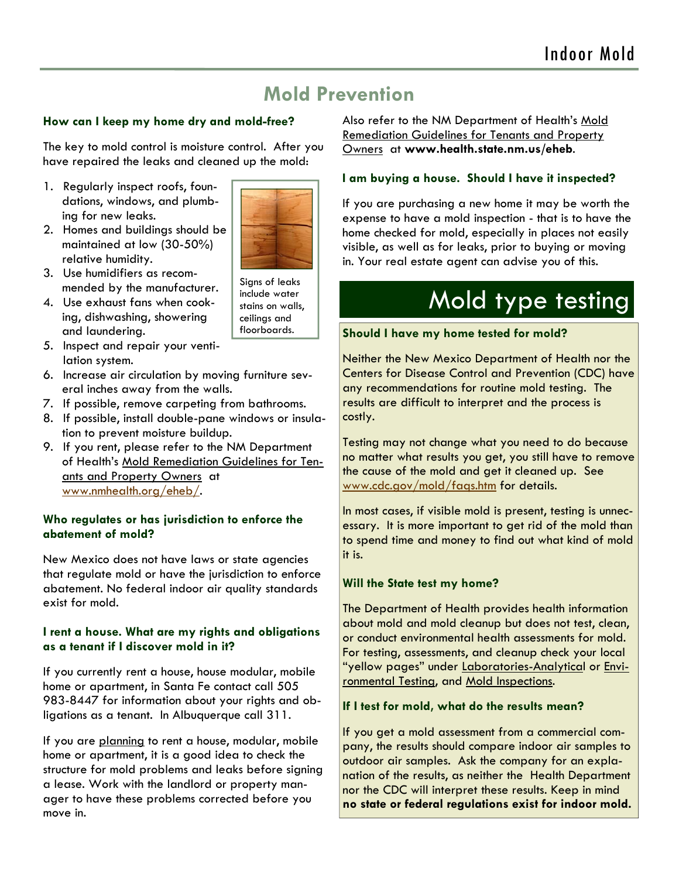### **Mold Prevention**

#### **How can I keep my home dry and mold-free?**

The key to mold control is moisture control. After you have repaired the leaks and cleaned up the mold:

- 1. Regularly inspect roofs, foundations, windows, and plumbing for new leaks.
- 2. Homes and buildings should be maintained at low (30-50%) relative humidity.
- 3. Use humidifiers as recommended by the manufacturer.
- 4. Use exhaust fans when cooking, dishwashing, showering and laundering.
- 5. Inspect and repair your ventilation system.
- 6. Increase air circulation by moving furniture several inches away from the walls.
- 7. If possible, remove carpeting from bathrooms.
- 8. If possible, install double-pane windows or insulation to prevent moisture buildup.
- 9. If you rent, please refer to the NM Department of Health's Mold Remediation Guidelines for Tenants and Property Owners at www.nmhealth.org/eheb/.

#### **Who regulates or has jurisdiction to enforce the abatement of mold?**

New Mexico does not have laws or state agencies that regulate mold or have the jurisdiction to enforce abatement. No federal indoor air quality standards exist for mold.

#### **I rent a house. What are my rights and obligations as a tenant if I discover mold in it?**

If you currently rent a house, house modular, mobile home or apartment, in Santa Fe contact call 505 983-8447 for information about your rights and obligations as a tenant. In Albuquerque call 311.

If you are planning to rent a house, modular, mobile home or apartment, it is a good idea to check the structure for mold problems and leaks before signing a lease. Work with the landlord or property manager to have these problems corrected before you move in.

Also refer to the NM Department of Health's Mold Remediation Guidelines for Tenants and Property Owners at **www.health.state.nm.us/eheb**.

#### **I am buying a house. Should I have it inspected?**

If you are purchasing a new home it may be worth the expense to have a mold inspection - that is to have the home checked for mold, especially in places not easily visible, as well as for leaks, prior to buying or moving in. Your real estate agent can advise you of this.

# Mold type testing

#### **Should I have my home tested for mold?**

Neither the New Mexico Department of Health nor the Centers for Disease Control and Prevention (CDC) have any recommendations for routine mold testing. The results are difficult to interpret and the process is costly.

Testing may not change what you need to do because no matter what results you get, you still have to remove the cause of the mold and get it cleaned up. See www.cdc.gov/mold/faqs.htm for details.

In most cases, if visible mold is present, testing is unnecessary. It is more important to get rid of the mold than to spend time and money to find out what kind of mold it is.

#### **Will the State test my home?**

The Department of Health provides health information about mold and mold cleanup but does not test, clean, or conduct environmental health assessments for mold. For testing, assessments, and cleanup check your local "yellow pages" under Laboratories-Analytical or Environmental Testing, and Mold Inspections.

#### **If I test for mold, what do the results mean?**

If you get a mold assessment from a commercial company, the results should compare indoor air samples to outdoor air samples. Ask the company for an explanation of the results, as neither the Health Department nor the CDC will interpret these results. Keep in mind **no state or federal regulations exist for indoor mold.** 

Signs of leaks



include water stains on walls, ceilings and floorboards.